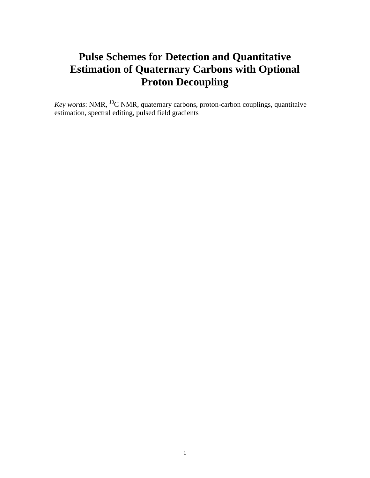# **Pulse Schemes for Detection and Quantitative Estimation of Quaternary Carbons with Optional Proton Decoupling**

*Key words*: NMR, <sup>13</sup>C NMR, quaternary carbons, proton-carbon couplings, quantitaive estimation, spectral editing, pulsed field gradients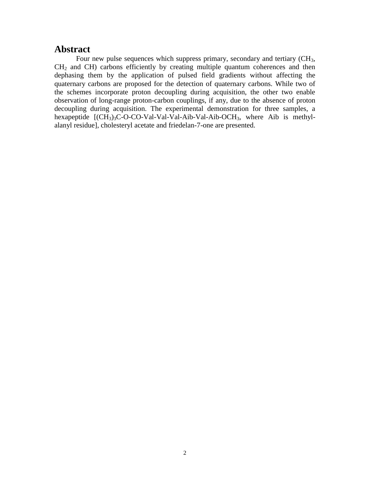### **Abstract**

Four new pulse sequences which suppress primary, secondary and tertiary (CH3, CH<sup>2</sup> and CH) carbons efficiently by creating multiple quantum coherences and then dephasing them by the application of pulsed field gradients without affecting the quaternary carbons are proposed for the detection of quaternary carbons. While two of the schemes incorporate proton decoupling during acquisition, the other two enable observation of long-range proton-carbon couplings, if any, due to the absence of proton decoupling during acquisition. The experimental demonstration for three samples, a hexapeptide  $[(CH_3)_3C-O-CO-Val-Val-Val-Aib-Val-Aib-OCH_3,$  where Aib is methylalanyl residue], cholesteryl acetate and friedelan-7-one are presented.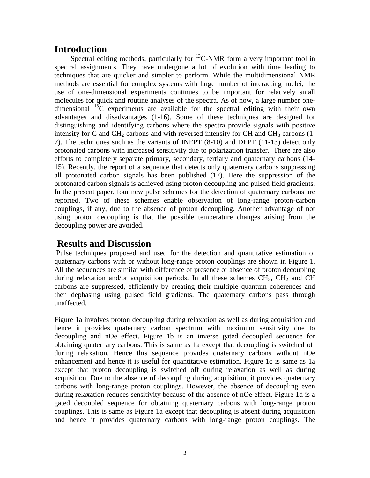## **Introduction**

Spectral editing methods, particularly for  $^{13}$ C-NMR form a very important tool in spectral assignments. They have undergone a lot of evolution with time leading to techniques that are quicker and simpler to perform. While the multidimensional NMR methods are essential for complex systems with large number of interacting nuclei, the use of one-dimensional experiments continues to be important for relatively small molecules for quick and routine analyses of the spectra. As of now, a large number onedimensional  $^{13}$ C experiments are available for the spectral editing with their own advantages and disadvantages (1-16). Some of these techniques are designed for distinguishing and identifying carbons where the spectra provide signals with positive intensity for C and CH<sub>2</sub> carbons and with reversed intensity for CH and CH<sub>3</sub> carbons (1-7). The techniques such as the variants of INEPT (8-10) and DEPT (11-13) detect only protonated carbons with increased sensitivity due to polarization transfer. There are also efforts to completely separate primary, secondary, tertiary and quaternary carbons (14- 15). Recently, the report of a sequence that detects only quaternary carbons suppressing all protonated carbon signals has been published (17). Here the suppression of the protonated carbon signals is achieved using proton decoupling and pulsed field gradients. In the present paper, four new pulse schemes for the detection of quaternary carbons are reported. Two of these schemes enable observation of long-range proton-carbon couplings, if any, due to the absence of proton decoupling. Another advantage of not using proton decoupling is that the possible temperature changes arising from the decoupling power are avoided.

## **Results and Discussion**

Pulse techniques proposed and used for the detection and quantitative estimation of quaternary carbons with or without long-range proton couplings are shown in Figure 1. All the sequences are similar with difference of presence or absence of proton decoupling during relaxation and/or acquisition periods. In all these schemes  $CH<sub>3</sub>$ ,  $CH<sub>2</sub>$  and CH carbons are suppressed, efficiently by creating their multiple quantum coherences and then dephasing using pulsed field gradients. The quaternary carbons pass through unaffected.

Figure 1a involves proton decoupling during relaxation as well as during acquisition and hence it provides quaternary carbon spectrum with maximum sensitivity due to decoupling and nOe effect. Figure 1b is an inverse gated decoupled sequence for obtaining quaternary carbons. This is same as 1a except that decoupling is switched off during relaxation. Hence this sequence provides quaternary carbons without nOe enhancement and hence it is useful for quantitative estimation. Figure 1c is same as 1a except that proton decoupling is switched off during relaxation as well as during acquisition. Due to the absence of decoupling during acquisition, it provides quaternary carbons with long-range proton couplings. However, the absence of decoupling even during relaxation reduces sensitivity because of the absence of nOe effect. Figure 1d is a gated decoupled sequence for obtaining quaternary carbons with long-range proton couplings. This is same as Figure 1a except that decoupling is absent during acquisition and hence it provides quaternary carbons with long-range proton couplings. The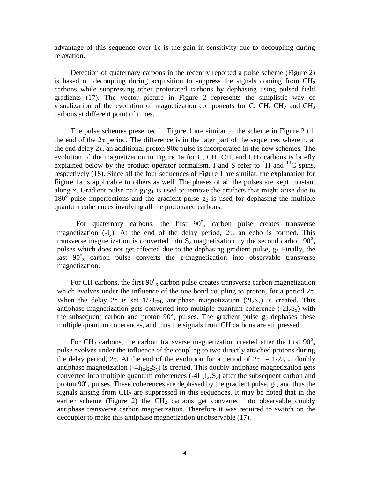advantage of this sequence over 1c is the gain in sensitivity due to decoupling during relaxation.

Detection of quaternary carbons in the recently reported a pulse scheme (Figure 2) is based on decoupling during acquisition to suppress the signals coming from  $CH<sub>2</sub>$ carbons while suppressing other protonated carbons by dephasing using pulsed field gradients (17). The vector picture in Figure 2 represents the simplistic way of visualization of the evolution of magnetization components for C, CH,  $CH<sub>2</sub>$  and  $CH<sub>3</sub>$ carbons at different point of times.

The pulse schemes presented in Figure 1 are similar to the scheme in Figure 2 till the end of the  $2\tau$  period. The difference is in the later part of the sequences wherein, at the end delay  $2\tau$ , an additional proton 90x pulse is incorporated in the new schemes. The evolution of the magnetization in Figure 1a for C, CH, CH<sub>2</sub> and CH<sub>3</sub> carbons is briefly explained below by the product operator formalism. I and S refer to  ${}^{1}H$  and  ${}^{13}C$  spins, respectively (18). Since all the four sequences of Figure 1 are similar, the explanation for Figure 1a is applicable to others as well. The phases of all the pulses are kept constant along x. Gradient pulse pair  $g_1:g_1$  is used to remove the artifacts that might arise due to  $180^\circ$  pulse imperfections and the gradient pulse  $g_2$  is used for dephasing the multiple quantum coherences involving all the protonated carbons.

For quaternary carbons, the first  $90^{\circ}$  carbon pulse creates transverse magnetization  $(-I_v)$ . At the end of the delay period,  $2\tau$ , an echo is formed. This transverse magnetization is converted into  $S_z$  magnetization by the second carbon  $90^\circ$ <sub>x</sub> pulses which does not get affected due to the dephasing gradient pulse, g2. Finally, the last  $90^\circ$ <sub>x</sub> carbon pulse converts the z-magnetization into observable transverse magnetization.

For CH carbons, the first  $90^\circ$ <sub>x</sub> carbon pulse creates transverse carbon magnetization which evolves under the influence of the one bond coupling to proton, for a period  $2\tau$ . When the delay  $2\tau$  is set  $1/2J_{\text{CH}}$ , antiphase magnetization  $(2I_zS_x)$  is created. This antiphase magnetization gets converted into multiple quantum coherence  $(-2I_vS_x)$  with the subsequent carbon and proton  $90^\circ$ <sub>x</sub> pulses. The gradient pulse  $g_2$  dephases these multiple quantum coherences, and thus the signals from CH carbons are suppressed.

For CH<sub>2</sub> carbons, the carbon transverse magnetization created after the first  $90^{\circ}_{\text{x}}$ pulse evolves under the influence of the coupling to two directly attached protons during the delay period,  $2\tau$ . At the end of the evolution for a period of  $2\tau = 1/2J_{\text{CH}}$ , doubly antiphase magnetization  $(-4I_{1z}I_{2z}S_y)$  is created. This doubly antiphase magnetization gets converted into multiple quantum coherences  $(-4I_{1y}I_{2y}S_{z})$  after the subsequent carbon and proton 90 $\degree$ <sub>x</sub> pulses. These coherences are dephased by the gradient pulse,  $g_2$ , and thus the signals arising from  $CH<sub>2</sub>$  are suppressed in this sequences. It may be noted that in the earlier scheme (Figure 2) the  $CH<sub>2</sub>$  carbons get converted into observable doubly antiphase transverse carbon magnetization. Therefore it was required to switch on the decoupler to make this antiphase magnetization unobservable (17).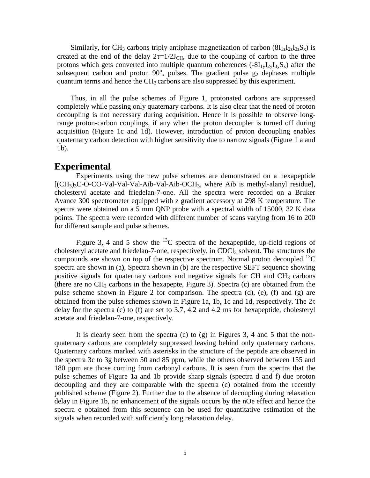Similarly, for CH<sub>3</sub> carbons triply antiphase magnetization of carbon  $(8I_{1z}I_{2z}I_{3z}S_x)$  is created at the end of the delay  $2\tau=1/2J_{CH}$ , due to the coupling of carbon to the three protons which gets converted into multiple quantum coherences  $(-8I_{1y}I_{2y}I_{3y}S_x)$  after the subsequent carbon and proton  $90^{\circ}$ <sub>x</sub> pulses. The gradient pulse  $g_2$  dephases multiple quantum terms and hence the  $CH<sub>3</sub>$  carbons are also suppressed by this experiment.

Thus, in all the pulse schemes of Figure 1, protonated carbons are suppressed completely while passing only quaternary carbons. It is also clear that the need of proton decoupling is not necessary during acquisition. Hence it is possible to observe longrange proton-carbon couplings, if any when the proton decoupler is turned off during acquisition (Figure 1c and 1d). However, introduction of proton decoupling enables quaternary carbon detection with higher sensitivity due to narrow signals (Figure 1 a and 1b).

#### **Experimental**

Experiments using the new pulse schemes are demonstrated on a hexapeptide  $[(CH<sub>3</sub>)<sub>3</sub>C-O-CO-Val-Val-Val-Aib-Val-Aib-OCH<sub>3</sub>, where Aib is methyl-alanyl residue],$ cholesteryl acetate and friedelan-7-one. All the spectra were recorded on a Bruker Avance 300 spectrometer equipped with z gradient accessory at 298 K temperature. The spectra were obtained on a 5 mm QNP probe with a spectral width of 15000, 32 K data points. The spectra were recorded with different number of scans varying from 16 to 200 for different sample and pulse schemes.

Figure 3, 4 and 5 show the <sup>13</sup>C spectra of the hexapeptide, up-field regions of cholesteryl acetate and friedelan-7-one, respectively, in CDCl<sub>3</sub> solvent. The structures the compounds are shown on top of the respective spectrum. Normal proton decoupled  $^{13}C$ spectra are shown in (a**)**, Spectra shown in (b) are the respective SEFT sequence showing positive signals for quaternary carbons and negative signals for  $CH$  and  $CH<sub>3</sub>$  carbons (there are no  $CH_2$  carbons in the hexapepte, Figure 3). Spectra (c) are obtained from the pulse scheme shown in Figure 2 for comparison. The spectra (d), (e), (f) and (g) are obtained from the pulse schemes shown in Figure 1a, 1b, 1c and 1d, respectively. The  $2\tau$ delay for the spectra (c) to (f) are set to 3.7, 4.2 and 4.2 ms for hexapeptide, cholesteryl acetate and friedelan-7-one, respectively.

It is clearly seen from the spectra (c) to (g) in Figures 3, 4 and 5 that the nonquaternary carbons are completely suppressed leaving behind only quaternary carbons. Quaternary carbons marked with asterisks in the structure of the peptide are observed in the spectra 3c to 3g between 50 and 85 ppm, while the others observed between 155 and 180 ppm are those coming from carbonyl carbons. It is seen from the spectra that the pulse schemes of Figure 1a and 1b provide sharp signals (spectra d and f) due proton decoupling and they are comparable with the spectra (c) obtained from the recently published scheme (Figure 2). Further due to the absence of decoupling during relaxation delay in Figure 1b, no enhancement of the signals occurs by the nOe effect and hence the spectra e obtained from this sequence can be used for quantitative estimation of the signals when recorded with sufficiently long relaxation delay.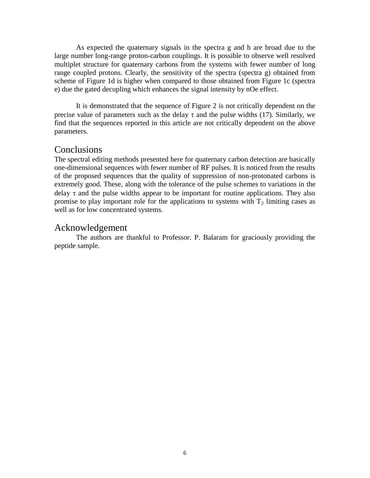As expected the quaternary signals in the spectra g and h are broad due to the large number long-range proton-carbon couplings. It is possible to observe well resolved multiplet structure for quaternary carbons from the systems with fewer number of long range coupled protons. Clearly, the sensitivity of the spectra (spectra g) obtained from scheme of Figure 1d is higher when compared to those obtained from Figure 1c (spectra e) due the gated decupling which enhances the signal intensity by nOe effect.

It is demonstrated that the sequence of Figure 2 is not critically dependent on the precise value of parameters such as the delay  $\tau$  and the pulse widths (17). Similarly, we find that the sequences reported in this article are not critically dependent on the above parameters.

#### **Conclusions**

The spectral editing methods presented here for quaternary carbon detection are basically one-dimensional sequences with fewer number of RF pulses. It is noticed from the results of the proposed sequences that the quality of suppression of non-protonated carbons is extremely good. These, along with the tolerance of the pulse schemes to variations in the delay  $\tau$  and the pulse widths appear to be important for routine applications. They also promise to play important role for the applications to systems with  $T_2$  limiting cases as well as for low concentrated systems.

#### Acknowledgement

The authors are thankful to Professor. P. Balaram for graciously providing the peptide sample.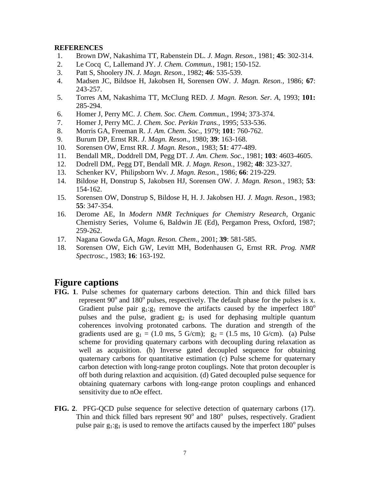#### **REFERENCES**

- 1. Brown DW, Nakashima TT, Rabenstein DL. *J. Magn. Reson.*, 1981; **45**: 302-314.
- 2. Le Cocq C, Lallemand JY. *J. Chem. Commun.*, 1981; 150-152.
- 3. Patt S, Shoolery JN. *J. Magn. Reson.*, 1982; **46**: 535-539.
- 4. Madsen JC, Bildsoe H, Jakobsen H, Sorensen OW. *J. Magn. Reson.,* 1986; **67**: 243-257.
- 5. Torres AM, Nakashima TT, McClung RED. *J. Magn. Reson. Ser. A*, 1993; **101:**  285-294.
- 6. Homer J, Perry MC. *J. Chem. Soc. Chem. Commun.*, 1994; 373-374.
- 7. Homer J, Perry MC. *J. Chem. Soc. Perkin Trans.,* 1995; 533-536.
- 8. Morris GA, Freeman R. *J. Am. Chem. Soc.*, 1979; **101**: 760-762.
- 9. Burum DP, Ernst RR. *J. Magn. Reson*., 1980; **39**: 163-168.
- 10. Sorensen OW, Ernst RR. *J. Magn. Reson.*, 1983; **51**: 477-489.
- 11. Bendall MR,. Doddrell DM, Pegg DT. *J. Am. Chem. Soc.*, 1981; **103**: 4603-4605.
- 12. Dodrell DM,. Pegg DT, Bendall MR. *J. Magn. Reson.*, 1982; **48**: 323-327.
- 13. Schenker KV, Philipsborn Wv. *J. Magn. Reson.*, 1986; **66**: 219-229.
- 14. Bildose H, Donstrup S, Jakobsen HJ, Sorensen OW. *J. Magn. Reson.*, 1983; **53**: 154-162.
- 15. Sorensen OW, Donstrup S, Bildose H, H. J. Jakobsen HJ. *J. Magn. Reson.*, 1983; **55**: 347-354.
- 16. Derome AE, In *Modern NMR Techniques for Chemistry Research*, Organic Chemistry Series, Volume 6, Baldwin JE (Ed), Pergamon Press, Oxford, 1987; 259-262.
- 17. Nagana Gowda GA, *Magn. Reson. Chem*., 2001; **39**: 581-585.
- 18. Sorensen OW, Eich GW, Levitt MH, Bodenhausen G, Ernst RR. *Prog. NMR Spectrosc.*, 1983; **16**: 163-192.

## **Figure captions**

- **FIG. 1**. Pulse schemes for quaternary carbons detection. Thin and thick filled bars represent 90 $^{\circ}$  and 180 $^{\circ}$  pulses, respectively. The default phase for the pulses is x. Gradient pulse pair  $g_1:g_1$  remove the artifacts caused by the imperfect  $180^\circ$ pulses and the pulse, gradient  $g_2$  is used for dephasing multiple quantum coherences involving protonated carbons. The duration and strength of the gradients used are  $g_1 = (1.0 \text{ ms}, 5 \text{ G/cm})$ ;  $g_2 = (1.5 \text{ ms}, 10 \text{ G/cm})$ . (a) Pulse scheme for providing quaternary carbons with decoupling during relaxation as well as acquisition. (b) Inverse gated decoupled sequence for obtaining quaternary carbons for quantitative estimation (c) Pulse scheme for quaternary carbon detection with long-range proton couplings. Note that proton decoupler is off both during relaxtion and acquisition. (d) Gated decoupled pulse sequence for obtaining quaternary carbons with long-range proton couplings and enhanced sensitivity due to nOe effect.
- **FIG. 2**. PFG-QCD pulse sequence for selective detection of quaternary carbons (17). Thin and thick filled bars represent 90° and 180° pulses, respectively. Gradient pulse pair  $g_1:g_1$  is used to remove the artifacts caused by the imperfect 180 $^{\circ}$  pulses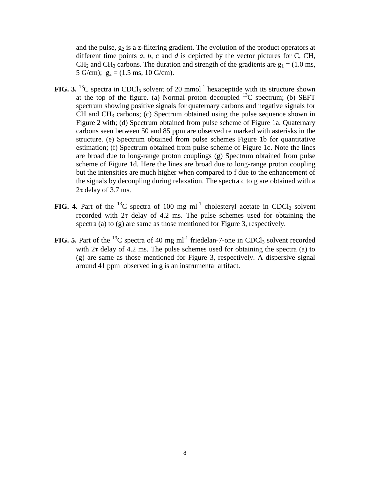and the pulse,  $g_2$  is a z-filtering gradient. The evolution of the product operators at different time points *a*, *b*, *c* and *d* is depicted by the vector pictures for C, CH,  $CH<sub>2</sub>$  and CH<sub>3</sub> carbons. The duration and strength of the gradients are  $g<sub>1</sub> = (1.0 \text{ ms},$ 5 G/cm);  $g_2 = (1.5 \text{ ms}, 10 \text{ G/cm}).$ 

- **FIG. 3.** <sup>13</sup>C spectra in CDCl<sub>3</sub> solvent of 20 mmol<sup>-1</sup> hexapeptide with its structure shown at the top of the figure. (a) Normal proton decoupled  $^{13}$ C spectrum; (b) SEFT spectrum showing positive signals for quaternary carbons and negative signals for  $CH$  and  $CH<sub>3</sub>$  carbons; (c) Spectrum obtained using the pulse sequence shown in Figure 2 with; (d) Spectrum obtained from pulse scheme of Figure 1a. Quaternary carbons seen between 50 and 85 ppm are observed re marked with asterisks in the structure. (e) Spectrum obtained from pulse schemes Figure 1b for quantitative estimation; (f) Spectrum obtained from pulse scheme of Figure 1c. Note the lines are broad due to long-range proton couplings (g) Spectrum obtained from pulse scheme of Figure 1d. Here the lines are broad due to long-range proton coupling but the intensities are much higher when compared to f due to the enhancement of the signals by decoupling during relaxation. The spectra c to g are obtained with a  $2\tau$  delay of 3.7 ms.
- **FIG. 4.** Part of the <sup>13</sup>C spectra of 100 mg ml<sup>-1</sup> cholesteryl acetate in CDCl<sub>3</sub> solvent recorded with  $2\tau$  delay of 4.2 ms. The pulse schemes used for obtaining the spectra (a) to (g) are same as those mentioned for Figure 3, respectively.
- **FIG. 5.** Part of the  $^{13}$ C spectra of 40 mg ml<sup>-1</sup> friedelan-7-one in CDCl<sub>3</sub> solvent recorded with  $2\tau$  delay of 4.2 ms. The pulse schemes used for obtaining the spectra (a) to (g) are same as those mentioned for Figure 3, respectively. A dispersive signal around 41 ppm observed in g is an instrumental artifact.